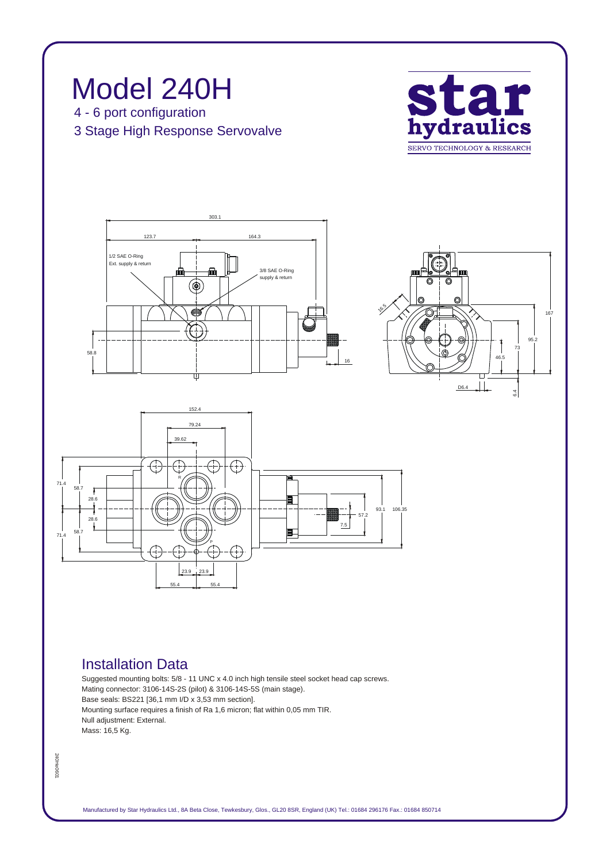

## *Installation Data*

*Suggested mounting bolts: 5/8 - 11 UNC x 4.0 inch high tensile steel socket head cap screws. Mating connector: 3106-14S-2S (pilot) & 3106-14S-5S (main stage). Base seals: BS221 [36,1 mm I/D x 3,53 mm section]. Mounting surface requires a finish of Ra 1,6 micron; flat within 0,05 mm TIR. Null adjustment: External. Mass: 16,5 Kg.*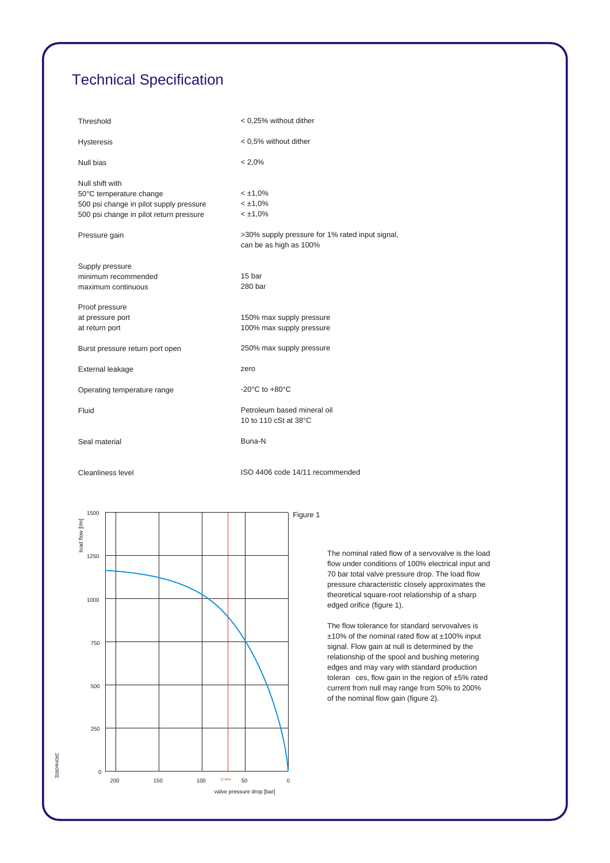## *Technical Specification*

| Threshold                                                                                                                        | < 0,25% without dither                                                    |
|----------------------------------------------------------------------------------------------------------------------------------|---------------------------------------------------------------------------|
| <b>Hysteresis</b>                                                                                                                | < 0.5% without dither                                                     |
| Null bias                                                                                                                        | $< 2,0\%$                                                                 |
| Null shift with<br>50°C temperature change<br>500 psi change in pilot supply pressure<br>500 psi change in pilot return pressure | $<$ ±1,0%<br>$< \pm 1.0\%$<br>$< \pm 1,0\%$                               |
| Pressure gain                                                                                                                    | >30% supply pressure for 1% rated input signal,<br>can be as high as 100% |
| Supply pressure<br>minimum recommended<br>maximum continuous                                                                     | 15 bar<br>280 bar                                                         |
| Proof pressure<br>at pressure port<br>at return port                                                                             | 150% max supply pressure<br>100% max supply pressure                      |
| Burst pressure return port open                                                                                                  | 250% max supply pressure                                                  |
| External leakage                                                                                                                 | zero                                                                      |
| Operating temperature range                                                                                                      | -20 $^{\circ}$ C to +80 $^{\circ}$ C                                      |
| Fluid                                                                                                                            | Petroleum based mineral oil<br>10 to 110 cSt at 38°C                      |
| Seal material                                                                                                                    | Buna-N                                                                    |

*Cleanliness level*

*ISO 4406 code 14/11 recommended*



*The nominal rated flow of a servovalve is the load flow under conditions of 100% electrical input and 70 bar total valve pressure drop. The load flow pressure characteristic closely approximates the theoretical square-root relationship of a sharp edged orifice (figure 1).*

*The flow tolerance for standard servovalves is ±10% of the nominal rated flow at ±100% input signal. Flow gain at null is determined by the relationship of the spool and bushing metering edges and may vary with standard production toleran ces, flow gain in the region of ±5% rated current from null may range from 50% to 200% of the nominal flow gain (figure 2).*